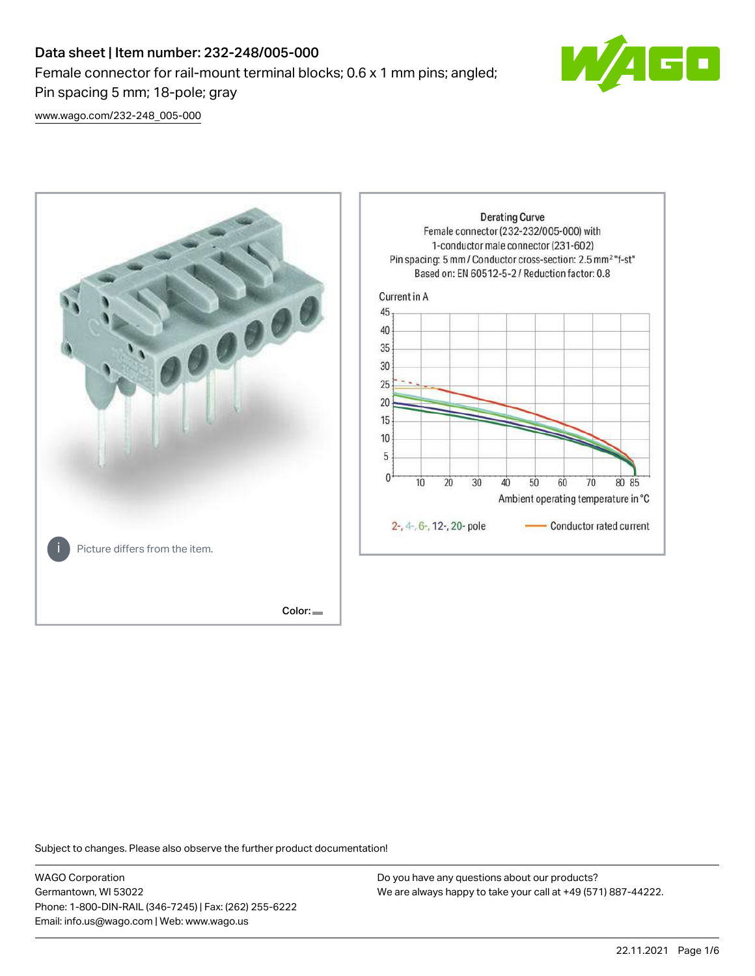# Data sheet | Item number: 232-248/005-000 Female connector for rail-mount terminal blocks; 0.6 x 1 mm pins; angled; Pin spacing 5 mm; 18-pole; gray



[www.wago.com/232-248\\_005-000](http://www.wago.com/232-248_005-000)



Subject to changes. Please also observe the further product documentation!

WAGO Corporation Germantown, WI 53022 Phone: 1-800-DIN-RAIL (346-7245) | Fax: (262) 255-6222 Email: info.us@wago.com | Web: www.wago.us

Do you have any questions about our products? We are always happy to take your call at +49 (571) 887-44222.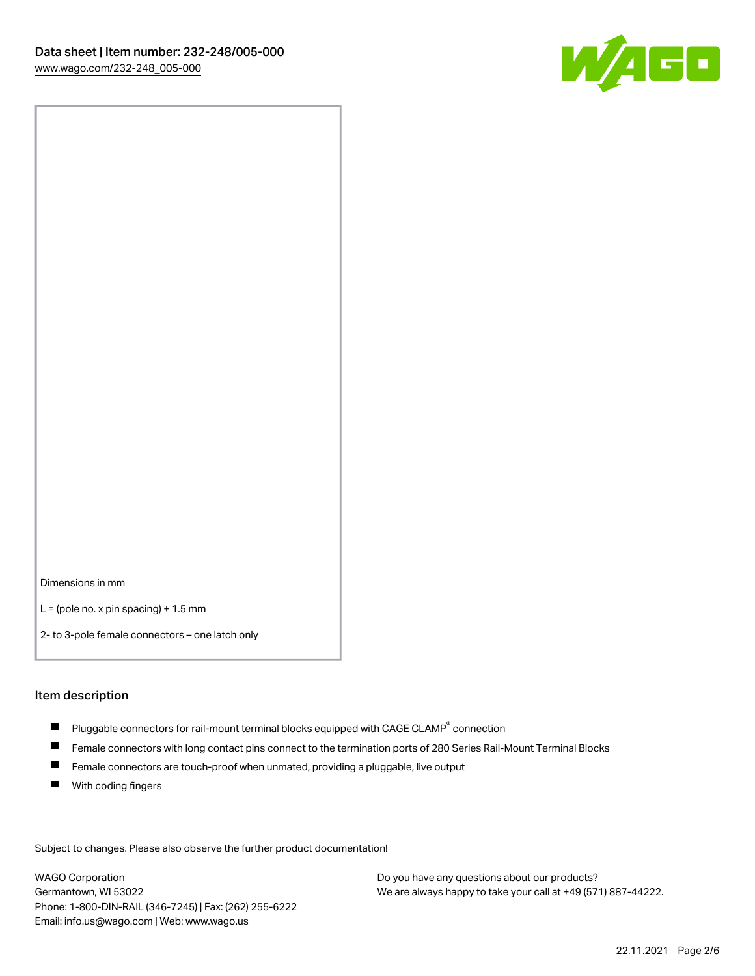

Dimensions in mm

 $L =$  (pole no. x pin spacing) + 1.5 mm

2- to 3-pole female connectors – one latch only

#### Item description

- $\blacksquare$  Pluggable connectors for rail-mount terminal blocks equipped with CAGE CLAMP $^\circ$  connection
- Female connectors with long contact pins connect to the termination ports of 280 Series Rail-Mount Terminal Blocks
- $\blacksquare$ Female connectors are touch-proof when unmated, providing a pluggable, live output
- $\blacksquare$ With coding fingers

Subject to changes. Please also observe the further product documentation! Data

WAGO Corporation Germantown, WI 53022 Phone: 1-800-DIN-RAIL (346-7245) | Fax: (262) 255-6222 Email: info.us@wago.com | Web: www.wago.us

Do you have any questions about our products? We are always happy to take your call at +49 (571) 887-44222.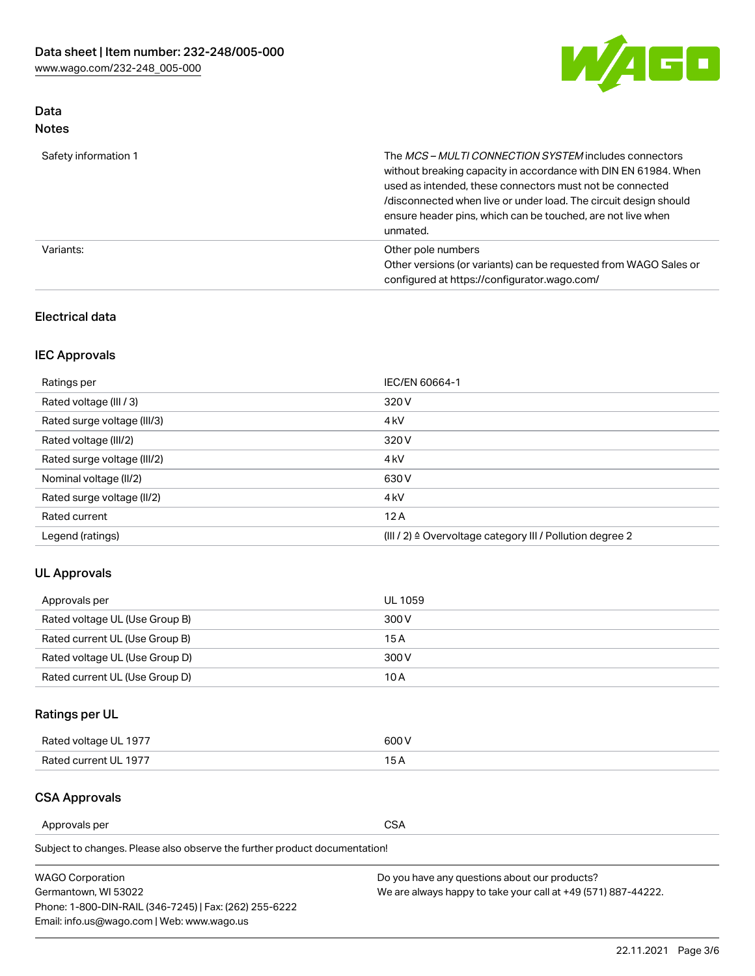

## Data Notes

| Safety information 1 | The MCS-MULTI CONNECTION SYSTEM includes connectors<br>without breaking capacity in accordance with DIN EN 61984. When<br>used as intended, these connectors must not be connected<br>/disconnected when live or under load. The circuit design should<br>ensure header pins, which can be touched, are not live when<br>unmated. |
|----------------------|-----------------------------------------------------------------------------------------------------------------------------------------------------------------------------------------------------------------------------------------------------------------------------------------------------------------------------------|
| Variants:            | Other pole numbers<br>Other versions (or variants) can be requested from WAGO Sales or<br>configured at https://configurator.wago.com/                                                                                                                                                                                            |

#### Electrical data

## IEC Approvals

| Ratings per                 | IEC/EN 60664-1                                                        |
|-----------------------------|-----------------------------------------------------------------------|
| Rated voltage (III / 3)     | 320 V                                                                 |
| Rated surge voltage (III/3) | 4 <sub>k</sub> V                                                      |
| Rated voltage (III/2)       | 320 V                                                                 |
| Rated surge voltage (III/2) | 4 <sub>k</sub> V                                                      |
| Nominal voltage (II/2)      | 630 V                                                                 |
| Rated surge voltage (II/2)  | 4 <sub>k</sub> V                                                      |
| Rated current               | 12A                                                                   |
| Legend (ratings)            | $(III / 2)$ $\triangle$ Overvoltage category III / Pollution degree 2 |

#### UL Approvals

| Approvals per                  | UL 1059 |
|--------------------------------|---------|
| Rated voltage UL (Use Group B) | 300 V   |
| Rated current UL (Use Group B) | 15 A    |
| Rated voltage UL (Use Group D) | 300 V   |
| Rated current UL (Use Group D) | 10 A    |

## Ratings per UL

| Rated voltage UL 1977 | 300 V |
|-----------------------|-------|
| Rated current UL 1977 |       |

#### CSA Approvals

Approvals per CSA

Subject to changes. Please also observe the further product documentation!

| <b>WAGO Corporation</b>                                | Do you have any questions about our products?                 |
|--------------------------------------------------------|---------------------------------------------------------------|
| Germantown, WI 53022                                   | We are always happy to take your call at +49 (571) 887-44222. |
| Phone: 1-800-DIN-RAIL (346-7245)   Fax: (262) 255-6222 |                                                               |
| Email: info.us@wago.com   Web: www.wago.us             |                                                               |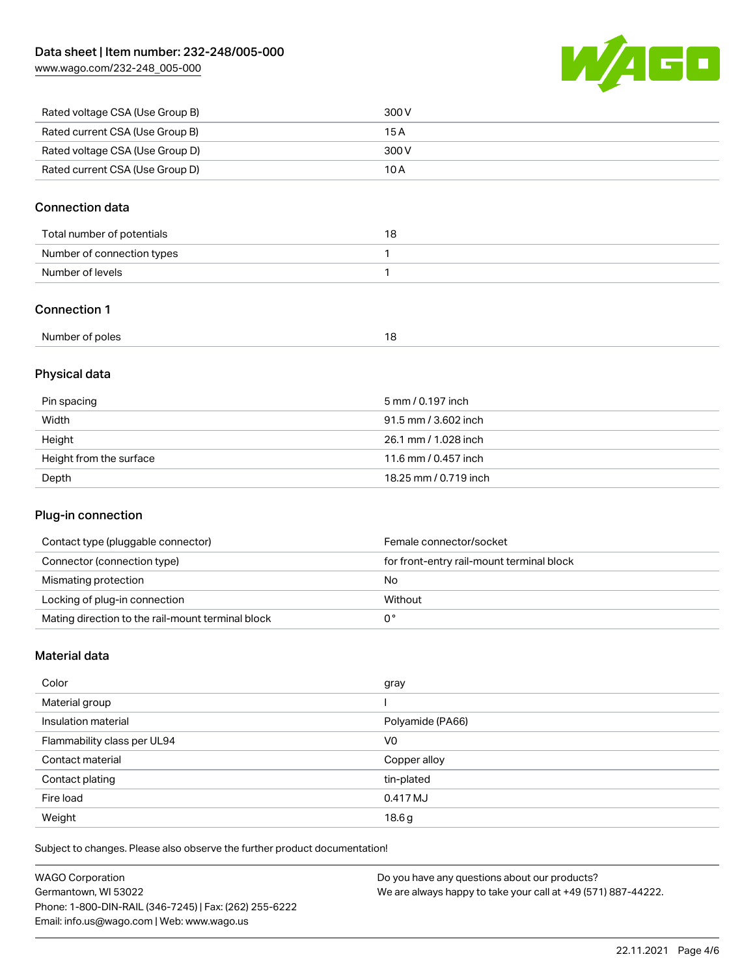[www.wago.com/232-248\\_005-000](http://www.wago.com/232-248_005-000)



| Rated voltage CSA (Use Group B) | 300 V |
|---------------------------------|-------|
| Rated current CSA (Use Group B) | 15 A  |
| Rated voltage CSA (Use Group D) | 300 V |
| Rated current CSA (Use Group D) | 10 A  |

#### Connection data

| Total number of potentials | 18 |
|----------------------------|----|
| Number of connection types |    |
| Number of levels           |    |

#### Connection 1

| Number of poles<br>. . |  |
|------------------------|--|
|------------------------|--|

## Physical data

| Pin spacing             | 5 mm / 0.197 inch     |
|-------------------------|-----------------------|
| Width                   | 91.5 mm / 3.602 inch  |
| Height                  | 26.1 mm / 1.028 inch  |
| Height from the surface | 11.6 mm / 0.457 inch  |
| Depth                   | 18.25 mm / 0.719 inch |

#### Plug-in connection

| Contact type (pluggable connector)                | Female connector/socket                   |
|---------------------------------------------------|-------------------------------------------|
| Connector (connection type)                       | for front-entry rail-mount terminal block |
| Mismating protection                              | No                                        |
| Locking of plug-in connection                     | Without                                   |
| Mating direction to the rail-mount terminal block |                                           |

#### Material data

| Color                       | gray             |
|-----------------------------|------------------|
| Material group              |                  |
| Insulation material         | Polyamide (PA66) |
| Flammability class per UL94 | V <sub>0</sub>   |
| Contact material            | Copper alloy     |
| Contact plating             | tin-plated       |
| Fire load                   | 0.417 MJ         |
| Weight                      | 18.6g            |

Subject to changes. Please also observe the further product documentation!

| <b>WAGO Corporation</b>                                | Do you have any questions about our products?                 |
|--------------------------------------------------------|---------------------------------------------------------------|
| Germantown, WI 53022                                   | We are always happy to take your call at +49 (571) 887-44222. |
| Phone: 1-800-DIN-RAIL (346-7245)   Fax: (262) 255-6222 |                                                               |
| Email: info.us@wago.com   Web: www.wago.us             |                                                               |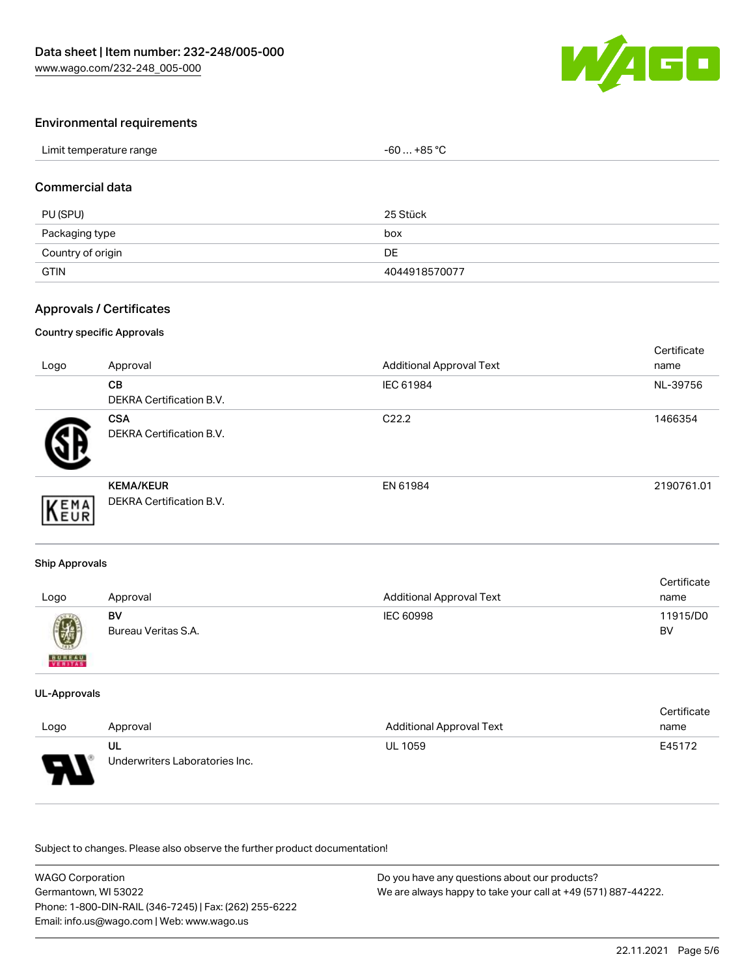

#### Environmental requirements

| Limit temperature range | $-60+85 °C$ |
|-------------------------|-------------|
|-------------------------|-------------|

#### Commercial data

| PU (SPU)          | 25 Stück      |
|-------------------|---------------|
| Packaging type    | box           |
| Country of origin | DE            |
| <b>GTIN</b>       | 4044918570077 |

#### Approvals / Certificates

#### Country specific Approvals

| Logo | Approval                                     | <b>Additional Approval Text</b> | Certificate<br>name |
|------|----------------------------------------------|---------------------------------|---------------------|
|      | CВ<br><b>DEKRA Certification B.V.</b>        | IEC 61984                       | NL-39756            |
|      | <b>CSA</b><br>DEKRA Certification B.V.       | C <sub>22.2</sub>               | 1466354             |
| EMA  | <b>KEMA/KEUR</b><br>DEKRA Certification B.V. | EN 61984                        | 2190761.01          |

#### Ship Approvals

| Logo                     | Approval                  | <b>Additional Approval Text</b> | Certificate<br>name |
|--------------------------|---------------------------|---------------------------------|---------------------|
| Ø                        | BV<br>Bureau Veritas S.A. | IEC 60998                       | 11915/D0<br>BV      |
| <b>BUREAU</b><br>VERITAS |                           |                                 |                     |

#### UL-Approvals

|          |                                |                                 | Certificate |
|----------|--------------------------------|---------------------------------|-------------|
| Logo     | Approval                       | <b>Additional Approval Text</b> | name        |
|          | UL                             | <b>UL 1059</b>                  | E45172      |
| J<br>. . | Underwriters Laboratories Inc. |                                 |             |

Subject to changes. Please also observe the further product documentation!

| <b>WAGO Corporation</b>                                | Do you have any questions about our products?                 |
|--------------------------------------------------------|---------------------------------------------------------------|
| Germantown, WI 53022                                   | We are always happy to take your call at +49 (571) 887-44222. |
| Phone: 1-800-DIN-RAIL (346-7245)   Fax: (262) 255-6222 |                                                               |
| Email: info.us@wago.com   Web: www.wago.us             |                                                               |